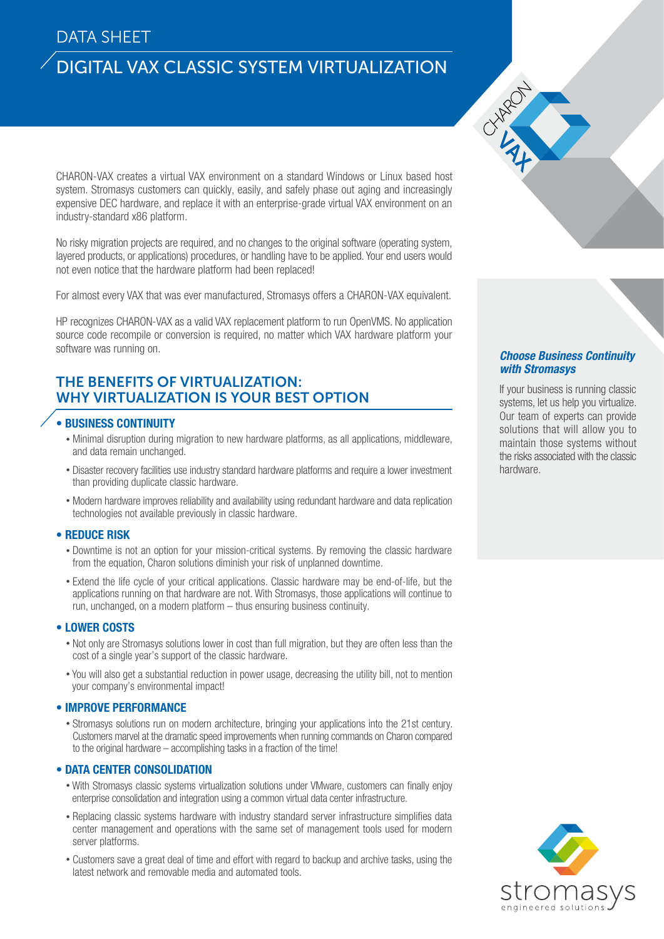## DATA SHEET

# DIGITAL VAX CLASSIC SYSTEM VIRTUALIZATION

CHARON-VAX creates a virtual VAX environment on a standard Windows or Linux based host system. Stromasys customers can quickly, easily, and safely phase out aging and increasingly expensive DEC hardware, and replace it with an enterprise-grade virtual VAX environment on an industry-standard x86 platform.

No risky migration projects are required, and no changes to the original software (operating system, layered products, or applications) procedures, or handling have to be applied. Your end users would not even notice that the hardware platform had been replaced!

For almost every VAX that was ever manufactured, Stromasys offers a CHARON-VAX equivalent.

HP recognizes CHARON-VAX as a valid VAX replacement platform to run OpenVMS. No application source code recompile or conversion is required, no matter which VAX hardware platform your software was running on.

### THE BENEFITS OF VIRTUALIZATION: WHY VIRTUALIZATION IS YOUR BEST OPTION

#### • BUSINESS CONTINUITY

- Minimal disruption during migration to new hardware platforms, as all applications, middleware, and data remain unchanged.
- Disaster recovery facilities use industry standard hardware platforms and require a lower investment than providing duplicate classic hardware.
- Modern hardware improves reliability and availability using redundant hardware and data replication technologies not available previously in classic hardware.

#### • REDUCE RISK

- Downtime is not an option for your mission-critical systems. By removing the classic hardware from the equation, Charon solutions diminish your risk of unplanned downtime.
- Extend the life cycle of your critical applications. Classic hardware may be end-of-life, but the applications running on that hardware are not. With Stromasys, those applications will continue to run, unchanged, on a modern platform – thus ensuring business continuity.

#### • LOWER COSTS

- Not only are Stromasys solutions lower in cost than full migration, but they are often less than the cost of a single year's support of the classic hardware.
- You will also get a substantial reduction in power usage, decreasing the utility bill, not to mention your company's environmental impact!

#### • IMPROVE PERFORMANCE

• Stromasys solutions run on modern architecture, bringing your applications into the 21st century. Customers marvel at the dramatic speed improvements when running commands on Charon compared to the original hardware – accomplishing tasks in a fraction of the time!

#### • DATA CENTER CONSOLIDATION

- With Stromasys classic systems virtualization solutions under VMware, customers can finally enjoy enterprise consolidation and integration using a common virtual data center infrastructure.
- Replacing classic systems hardware with industry standard server infrastructure simplifies data center management and operations with the same set of management tools used for modern server platforms.
- Customers save a great deal of time and effort with regard to backup and archive tasks, using the latest network and removable media and automated tools.

#### Choose Business Continuity with Stromasys

If your business is running classic systems, let us help you virtualize. Our team of experts can provide solutions that will allow you to maintain those systems without the risks associated with the classic hardware.